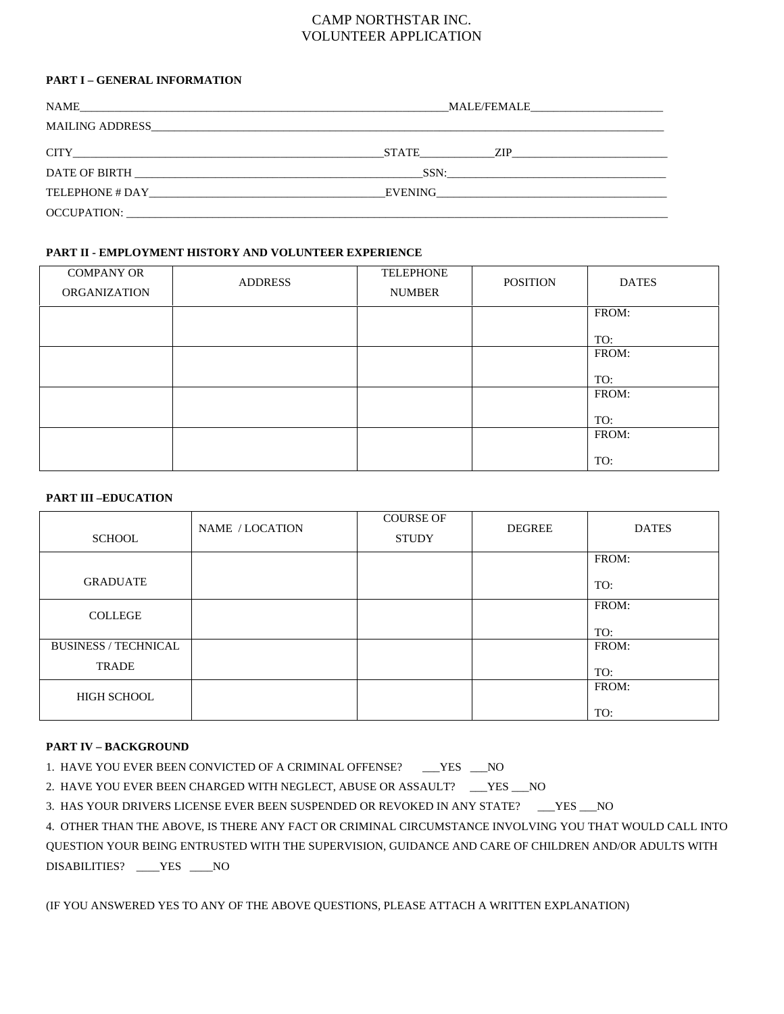## CAMP NORTHSTAR INC. VOLUNTEER APPLICATION

#### **PART I – GENERAL INFORMATION**

| NAME<br>and the control of the control of the control of the control of the control of the control of the control of the | MALE/FEMALE                                                                                                     |  |  |  |
|--------------------------------------------------------------------------------------------------------------------------|-----------------------------------------------------------------------------------------------------------------|--|--|--|
|                                                                                                                          |                                                                                                                 |  |  |  |
|                                                                                                                          | STATE ZIP                                                                                                       |  |  |  |
| DATE OF BIRTH <b>EXECUTER SERVICES</b>                                                                                   | SSN:                                                                                                            |  |  |  |
| TELEPHONE # DAY                                                                                                          | EVENING THE SERVER SERVER SERVER SERVER SERVER SERVER SERVER SERVER SERVER SERVER SERVER SERVER SERVER SERVER S |  |  |  |
|                                                                                                                          |                                                                                                                 |  |  |  |

#### **PART II - EMPLOYMENT HISTORY AND VOLUNTEER EXPERIENCE**

| <b>COMPANY OR</b><br><b>ORGANIZATION</b> | <b>ADDRESS</b> | <b>TELEPHONE</b><br><b>NUMBER</b> | <b>POSITION</b> | <b>DATES</b> |
|------------------------------------------|----------------|-----------------------------------|-----------------|--------------|
|                                          |                |                                   |                 | FROM:        |
|                                          |                |                                   |                 | TO:<br>FROM: |
|                                          |                |                                   |                 |              |
|                                          |                |                                   |                 | TO:          |
|                                          |                |                                   |                 | FROM:        |
|                                          |                |                                   |                 | TO:          |
|                                          |                |                                   |                 | FROM:        |
|                                          |                |                                   |                 | TO:          |

## **PART III –EDUCATION**

| <b>SCHOOL</b>               | NAME / LOCATION | <b>COURSE OF</b><br><b>STUDY</b> | <b>DEGREE</b> | <b>DATES</b> |
|-----------------------------|-----------------|----------------------------------|---------------|--------------|
|                             |                 |                                  |               | FROM:        |
| <b>GRADUATE</b>             |                 |                                  |               | TO:          |
| <b>COLLEGE</b>              |                 |                                  |               | FROM:        |
|                             |                 |                                  |               | TO:          |
| <b>BUSINESS / TECHNICAL</b> |                 |                                  |               | FROM:        |
| <b>TRADE</b>                |                 |                                  |               | TO:          |
| <b>HIGH SCHOOL</b>          |                 |                                  |               | FROM:        |
|                             |                 |                                  |               | TO:          |

#### **PART IV – BACKGROUND**

| 1. HAVE YOU EVER BEEN CONVICTED OF A CRIMINAL OFFENSE? |  |
|--------------------------------------------------------|--|
|--------------------------------------------------------|--|

2. HAVE YOU EVER BEEN CHARGED WITH NEGLECT, ABUSE OR ASSAULT? \_\_\_YES \_\_\_NO

3. HAS YOUR DRIVERS LICENSE EVER BEEN SUSPENDED OR REVOKED IN ANY STATE? \_\_\_YES \_\_\_NO

4. OTHER THAN THE ABOVE, IS THERE ANY FACT OR CRIMINAL CIRCUMSTANCE INVOLVING YOU THAT WOULD CALL INTO QUESTION YOUR BEING ENTRUSTED WITH THE SUPERVISION, GUIDANCE AND CARE OF CHILDREN AND/OR ADULTS WITH DISABILITIES? \_\_\_\_YES \_\_\_\_NO

(IF YOU ANSWERED YES TO ANY OF THE ABOVE QUESTIONS, PLEASE ATTACH A WRITTEN EXPLANATION)